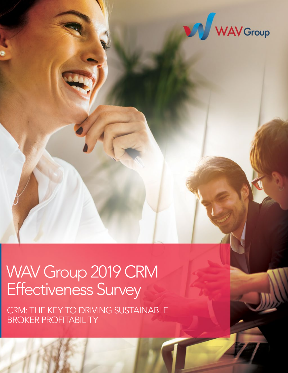

# WAV Group 2019 CRM Effectiveness Survey

CRM: THE KEY TO DRIVING SUSTAINABLE BROKER PROFITABILITY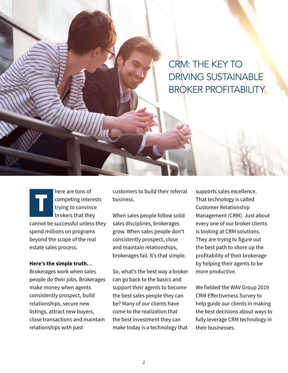CRM: THE KEY TO DRIVING SUSTAINABLE BROKER PROFITABILITY

here are tons of competing interests trying to convince brokers that they cannot be successful unless they spend millions on programs beyond the scope of the real estate sales process.

#### **Here's the simple truth.**...

Brokerages work when sales people do their jobs. Brokerages make money when agents consistently prospect, build relationships, secure new listings, attract new buyers, close transactions and maintain relationships with past

customers to build their referral business.

When sales people follow solid sales disciplines, brokerages grow. When sales people don't consistently prospect, close and maintain relationships, brokerages fail. It's that simple.

So, what's the best way a broker can go back to the basics and support their agents to become the best sales people they can be? Many of our clients have come to the realization that the best investment they can make today is a technology that

supports sales excellence. That technology is called Customer Relationship Management (CRM). Just about every one of our broker clients is looking at CRM solutions. They are trying to figure out the best path to shore up the profitability of their brokerage by helping their agents to be more productive.

We fielded the WAV Group 2019 CRM Effectiveness Survey to help guide our clients in making the best decisions about ways to fully leverage CRM technology in their businesses.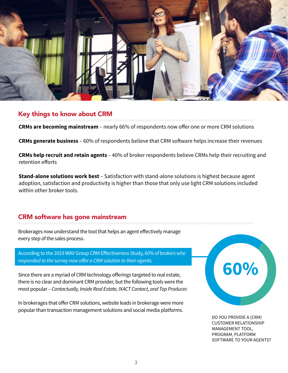

# Key things to know about CRM

**CRMs are becoming mainstream** – nearly 66% of respondents now offer one or more CRM solutions

**CRMs generate business** – 60% of respondents believe that CRM software helps increase their revenues

**CRMs help recruit and retain agents** – 40% of broker respondents believe CRMs help their recruiting and retention efforts

**Stand-alone solutions work best** – Satisfaction with stand-alone solutions is highest because agent adoption, satisfaction and productivity is higher than those that only use light CRM solutions included within other broker tools.

# CRM software has gone mainstream

Brokerages now understand the tool that helps an agent effectively manage every step of the sales process.

According to the 2019 WAV Group CRM Effectiveness Study, *60% of brokers who responded to the survey now offer a CRM solution to their agents.*

Since there are a myriad of CRM technology offerings targeted to real estate, there is no clear and dominant CRM provider, but the following tools were the most popular – *Contactually, Inside Real Estate, IXACT Contact, and Top Producer.*

In brokerages that offer CRM solutions, website leads in brokerage were more popular than transaction management solutions and social media platforms.



DO YOU PROVIDE A (CRM) CUSTOMER RELATIONSHIP MANAGEMENT TOOL, PROGRAM, PLATFORM SOFTWARE TO YOUR AGENTS?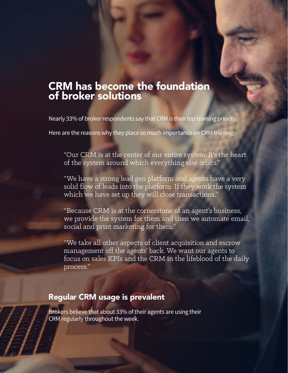## CRM has become the foundation of broker solutions

Nearly 33% of broker respondents say that CRM is their top training priority.

Here are the reasons why they place so much importance on CRM training:

"Our CRM is at the center of our entire system. It's the heart of the system around which everything else orbits."

"We have a strong lead gen platform and agents have a very solid flow of leads into the platform. If they work the system which we have set up they will close transactions."

"Because CRM is at the cornerstone of an agent's business, we provide the system for them and then we automate email, social and print marketing for them."

"We take all other aspects of client acquisition and escrow management off the agents' back. We want our agents to focus on sales KPIs and the CRM in the lifeblood of the daily process."

## Regular CRM usage is prevalent

Brokers believe that about 33% of their agents are using their CRM regularly throughout the week.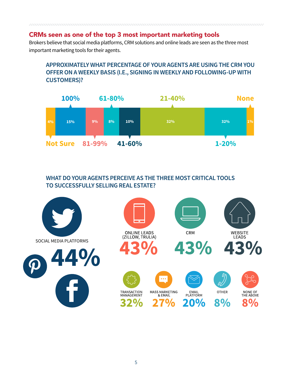### CRMs seen as one of the top 3 most important marketing tools

Brokers believe that social media platforms, CRM solutions and online leads are seen as the three most important marketing tools for their agents.

#### **APPROXIMATELY WHAT PERCENTAGE OF YOUR AGENTS ARE USING THE CRM YOU OFFER ON A WEEKLY BASIS (I.E., SIGNING IN WEEKLY AND FOLLOWING-UP WITH CUSTOMERS)?**



#### **WHAT DO YOUR AGENTS PERCEIVE AS THE THREE MOST CRITICAL TOOLS TO SUCCESSFULLY SELLING REAL ESTATE?**

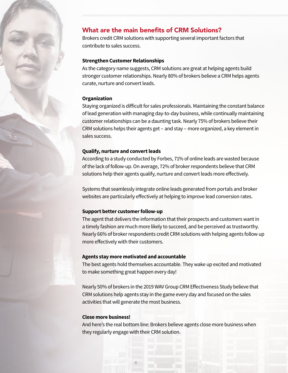#### What are the main benefits of CRM Solutions?

Brokers credit CRM solutions with supporting several important factors that contribute to sales success.

#### **Strengthen Customer Relationships**

As the category name suggests, CRM solutions are great at helping agents build stronger customer relationships. Nearly 80% of brokers believe a CRM helps agents curate, nurture and convert leads.

#### **Organization**

Staying organized is difficult for sales professionals. Maintaining the constant balance of lead generation with managing day-to-day business, while continually maintaining customer relationships can be a daunting task. Nearly 75% of brokers believe their CRM solutions helps their agents get – and stay – more organized, a key element in sales success.

#### **Qualify, nurture and convert leads**

According to a study conducted by Forbes, 71% of online leads are wasted because of the lack of follow-up. On average, 72% of broker respondents believe that CRM solutions help their agents qualify, nurture and convert leads more effectively.

Systems that seamlessly integrate online leads generated from portals and broker websites are particularly effectively at helping to improve lead conversion rates.

#### **Support better customer follow-up**

The agent that delivers the information that their prospects and customers want in a timely fashion are much more likely to succeed, and be perceived as trustworthy. Nearly 66% of broker respondents credit CRM solutions with helping agents follow up more effectively with their customers.

#### **Agents stay more motivated and accountable**

The best agents hold themselves accountable. They wake up excited and motivated to make something great happen every day!

Nearly 50% of brokers in the 2019 WAV Group CRM Effectiveness Study believe that CRM solutions help agents stay in the game every day and focused on the sales activities that will generate the most business.

#### **Close more business!**

And here's the real bottom line: Brokers believe agents close more business when they regularly engage with their CRM solution.

6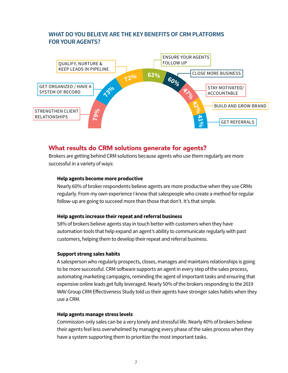#### **WHAT DO YOU BELIEVE ARE THE KEY BENEFITS OF CRM PLATFORMS FOR YOUR AGENTS?**



#### What results do CRM solutions generate for agents?

Brokers are getting behind CRM solutions because agents who use them regularly are more successful in a variety of ways:

#### **Help agents become more productive**

Nearly 60% of broker respondents believe agents are more productive when they use CRMs regularly. From my own experience I know that salespeople who create a method for regular follow-up are going to succeed more than those that don't. It's that simple.

#### **Help agents increase their repeat and referral business**

58% of brokers believe agents stay in touch better with customers when they have automation tools that help expand an agent's ability to communicate regularly with past customers, helping them to develop their repeat and referral business.

#### **Support strong sales habits**

A salesperson who regularly prospects, closes, manages and maintains relationships is going to be more successful. CRM software supports an agent in every step of the sales process, automating marketing campaigns, reminding the agent of important tasks and ensuring that expensive online leads get fully leveraged. Nearly 50% of the brokers responding to the 2019 WAV Group CRM Effectiveness Study told us their agents have stronger sales habits when they use a CRM.

#### **Help agents manage stress levels**

Commission-only sales can be a very lonely and stressful life. Nearly 40% of brokers believe their agents feel less overwhelmed by managing every phase of the sales process when they have a system supporting them to prioritize the most important tasks.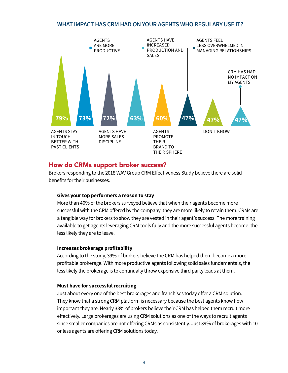#### **WHAT IMPACT HAS CRM HAD ON YOUR AGENTS WHO REGULARY USE IT?**



#### How do CRMs support broker success?

Brokers responding to the 2018 WAV Group CRM Effectiveness Study believe there are solid benefits for their businesses.

#### **Gives your top performers a reason to stay**

More than 40% of the brokers surveyed believe that when their agents become more successful with the CRM offered by the company, they are more likely to retain them. CRMs are a tangible way for brokers to show they are vested in their agent's success. The more training available to get agents leveraging CRM tools fully and the more successful agents become, the less likely they are to leave.

#### **Increases brokerage profitability**

According to the study, 39% of brokers believe the CRM has helped them become a more profitable brokerage. With more productive agents following solid sales fundamentals, the less likely the brokerage is to continually throw expensive third party leads at them.

#### **Must have for successful recruiting**

Just about every one of the best brokerages and franchises today offer a CRM solution. They know that a strong CRM platform is necessary because the best agents know how important they are. Nearly 33% of brokers believe their CRM has helped them recruit more effectively. Large brokerages are using CRM solutions as one of the ways to recruit agents since smaller companies are not offering CRMs as consistently. Just 39% of brokerages with 10 or less agents are offering CRM solutions today.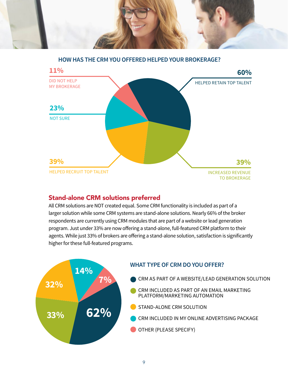

**HOW HAS THE CRM YOU OFFERED HELPED YOUR BROKERAGE?**



#### Stand-alone CRM solutions preferred

All CRM solutions are NOT created equal. Some CRM functionality is included as part of a larger solution while some CRM systems are stand-alone solutions. Nearly 66% of the broker respondents are currently using CRM modules that are part of a website or lead generation program. Just under 33% are now offering a stand-alone, full-featured CRM platform to their agents. While just 33% of brokers are offering a stand-alone solution, satisfaction is significantly higher for these full-featured programs.

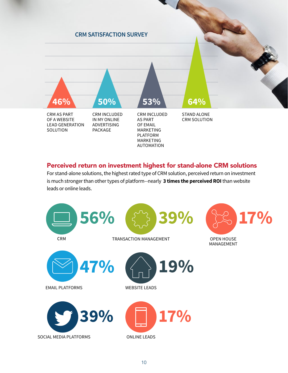

#### Perceived return on investment highest for stand-alone CRM solutions

For stand-alone solutions, the highest rated type of CRM solution, perceived return on investment is much stronger than other types of platform--nearly **3 times the perceived ROI** than website leads or online leads.

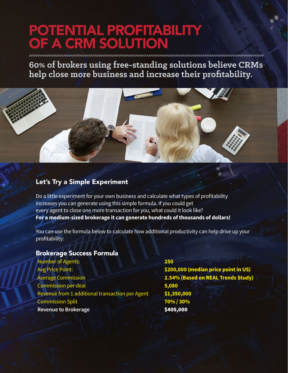# POTENTIAL PROFITABILITY OF A CRM SOLUTION

**60% of brokers using free-standing solutions believe CRMs help close more business and increase their profitability.**



### Let's Try a Simple Experiment

Do a little experiment for your own business and calculate what types of profitability increases you can generate using this simple formula. If you could get every agent to close one more transaction for you, what could it look like? **For a medium-sized brokerage it can generate hundreds of thousands of dollars!**

You can use the formula below to calculate how additional productivity can help drive up your profitability:

#### Brokerage Success Formula

Number of Agents: **250** Avg Price Point: **\$200,000 (median price point in US)** Average Commission **2.54% (Based on REAL Trends Study)** Commission per deal **5,080** Revenue from 1 additional transaction per Agent **\$1,350,000** Commission Split **70% / 30% Revenue to Brokerage \$405,000**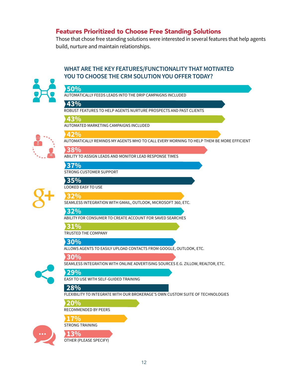#### Features Prioritized to Choose Free Standing Solutions

Those that chose free standing solutions were interested in several features that help agents build, nurture and maintain relationships.

#### **WHAT ARE THE KEY FEATURES/FUNCTIONALITY THAT MOTIVATED YOU TO CHOOSE THE CRM SOLUTION YOU OFFER TODAY?**



#### AUTOMATICALLY FEEDS LEADS INTO THE DRIP CAMPAIGNS INCLUDED ROBUST FEATURES TO HELP AGENTS NURTURE PROSPECTS AND PAST CLIENTS AUTOMATED MARKETING CAMPAIGNS INCLUDED AUTOMATICALLY REMINDS MY AGENTS WHO TO CALL EVERY MORNING TO HELP THEM BE MORE EFFICIENT ABILITY TO ASSIGN LEADS AND MONITOR LEAD RESPONSE TIMES STRONG CUSTOMER SUPPORT LOOKED EASY TO USE SEAMLESS INTEGRATION WITH GMAIL, OUTLOOK, MICROSOFT 360, ETC. ABILITY FOR CONSUMER TO CREATE ACCOUNT FOR SAVED SEARCHES TRUSTED THE COMPANY ALLOWS AGENTS TO EASILY UPLOAD CONTACTS FROM GOOGLE, OUTLOOK, ETC. SEAMLESS INTEGRATION WITH ONLINE ADVERTISING SOURCES E.G. ZILLOW, REALTOR, ETC. EASY TO USE WITH SELF-GUIDED TRAINING FLEXIBILITY TO INTEGRATE WITH OUR BROKERAGE'S OWN CUSTOM SUITE OF TECHNOLOGIES RECOMMENDED BY PEERS STRONG TRAINING **50% 43% 43% 42% 37% 35% 32% 32% 31% 30% 30% 29% 28% 20% 17% 38%**







OTHER (PLEASE SPECIFY) **13%**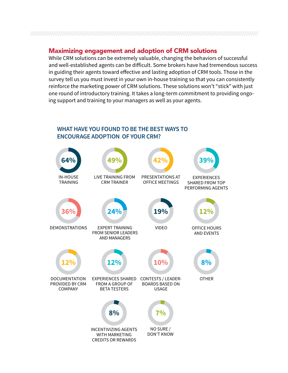### 

#### Maximizing engagement and adoption of CRM solutions

While CRM solutions can be extremely valuable, changing the behaviors of successful and well-established agents can be difficult. Some brokers have had tremendous success in guiding their agents toward effective and lasting adoption of CRM tools. Those in the survey tell us you must invest in your own in-house training so that you can consistently reinforce the marketing power of CRM solutions. These solutions won't "stick" with just one round of introductory training. It takes a long-term commitment to providing ongoing support and training to your managers as well as your agents.

#### **WHAT HAVE YOU FOUND TO BE THE BEST WAYS TO ENCOURAGE ADOPTION OF YOUR CRM?**